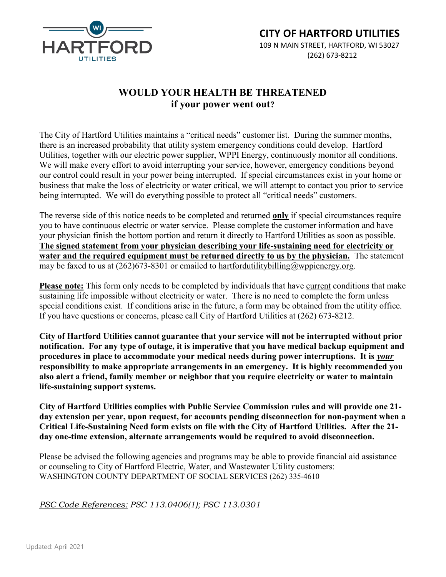

## WOULD YOUR HEALTH BE THREATENED if your power went out?

The City of Hartford Utilities maintains a "critical needs" customer list. During the summer months, there is an increased probability that utility system emergency conditions could develop. Hartford Utilities, together with our electric power supplier, WPPI Energy, continuously monitor all conditions. We will make every effort to avoid interrupting your service, however, emergency conditions beyond our control could result in your power being interrupted. If special circumstances exist in your home or business that make the loss of electricity or water critical, we will attempt to contact you prior to service being interrupted. We will do everything possible to protect all "critical needs" customers.

The reverse side of this notice needs to be completed and returned only if special circumstances require you to have continuous electric or water service. Please complete the customer information and have your physician finish the bottom portion and return it directly to Hartford Utilities as soon as possible. The signed statement from your physician describing your life-sustaining need for electricity or water and the required equipment must be returned directly to us by the physician. The statement may be faxed to us at  $(262)673-8301$  or emailed to hartfordutilitybilling@wppienergy.org.

Please note: This form only needs to be completed by individuals that have current conditions that make sustaining life impossible without electricity or water. There is no need to complete the form unless special conditions exist. If conditions arise in the future, a form may be obtained from the utility office. If you have questions or concerns, please call City of Hartford Utilities at (262) 673-8212.

City of Hartford Utilities cannot guarantee that your service will not be interrupted without prior notification. For any type of outage, it is imperative that you have medical backup equipment and procedures in place to accommodate your medical needs during power interruptions. It is your responsibility to make appropriate arrangements in an emergency. It is highly recommended you also alert a friend, family member or neighbor that you require electricity or water to maintain life-sustaining support systems.

City of Hartford Utilities complies with Public Service Commission rules and will provide one 21 day extension per year, upon request, for accounts pending disconnection for non-payment when a Critical Life-Sustaining Need form exists on file with the City of Hartford Utilities. After the 21 day one-time extension, alternate arrangements would be required to avoid disconnection.

Please be advised the following agencies and programs may be able to provide financial aid assistance or counseling to City of Hartford Electric, Water, and Wastewater Utility customers: WASHINGTON COUNTY DEPARTMENT OF SOCIAL SERVICES (262) 335-4610

PSC Code References: PSC 113.0406(1); PSC 113.0301